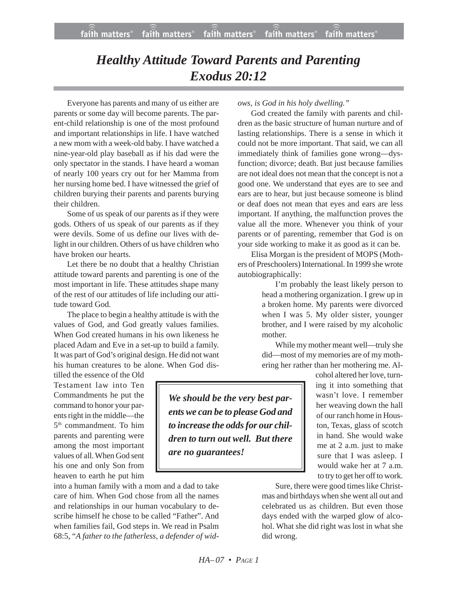# *Healthy Attitude Toward Parents and Parenting Exodus 20:12*

Everyone has parents and many of us either are parents or some day will become parents. The parent-child relationship is one of the most profound and important relationships in life. I have watched a new mom with a week-old baby. I have watched a nine-year-old play baseball as if his dad were the only spectator in the stands. I have heard a woman of nearly 100 years cry out for her Mamma from her nursing home bed. I have witnessed the grief of children burying their parents and parents burying their children.

Some of us speak of our parents as if they were gods. Others of us speak of our parents as if they were devils. Some of us define our lives with delight in our children. Others of us have children who have broken our hearts.

Let there be no doubt that a healthy Christian attitude toward parents and parenting is one of the most important in life. These attitudes shape many of the rest of our attitudes of life including our attitude toward God.

The place to begin a healthy attitude is with the values of God, and God greatly values families. When God created humans in his own likeness he placed Adam and Eve in a set-up to build a family. It was part of God's original design. He did not want his human creatures to be alone. When God dis-

tilled the essence of the Old Testament law into Ten Commandments he put the command to honor your parents right in the middle—the 5th commandment. To him parents and parenting were among the most important values of all. When God sent his one and only Son from heaven to earth he put him

into a human family with a mom and a dad to take care of him. When God chose from all the names and relationships in our human vocabulary to describe himself he chose to be called "Father". And when families fail, God steps in. We read in Psalm 68:5, "*A father to the fatherless, a defender of wid-* *ows, is God in his holy dwelling."*

God created the family with parents and children as the basic structure of human nurture and of lasting relationships. There is a sense in which it could not be more important. That said, we can all immediately think of families gone wrong—dysfunction; divorce; death. But just because families are not ideal does not mean that the concept is not a good one. We understand that eyes are to see and ears are to hear, but just because someone is blind or deaf does not mean that eyes and ears are less important. If anything, the malfunction proves the value all the more. Whenever you think of your parents or of parenting, remember that God is on your side working to make it as good as it can be.

Elisa Morgan is the president of MOPS (Mothers of Preschoolers) International. In 1999 she wrote autobiographically:

> I'm probably the least likely person to head a mothering organization. I grew up in a broken home. My parents were divorced when I was 5. My older sister, younger brother, and I were raised by my alcoholic mother.

> While my mother meant well—truly she did—most of my memories are of my mothering her rather than her mothering me. Al-

*We should be the very best parents we can be to please God and to increase the odds for our children to turn out well. But there are no guarantees!*

cohol altered her love, turning it into something that wasn't love. I remember her weaving down the hall of our ranch home in Houston, Texas, glass of scotch in hand. She would wake me at 2 a.m. just to make sure that I was asleep. I would wake her at 7 a.m. to try to get her off to work.

Sure, there were good times like Christmas and birthdays when she went all out and celebrated us as children. But even those days ended with the warped glow of alcohol. What she did right was lost in what she did wrong.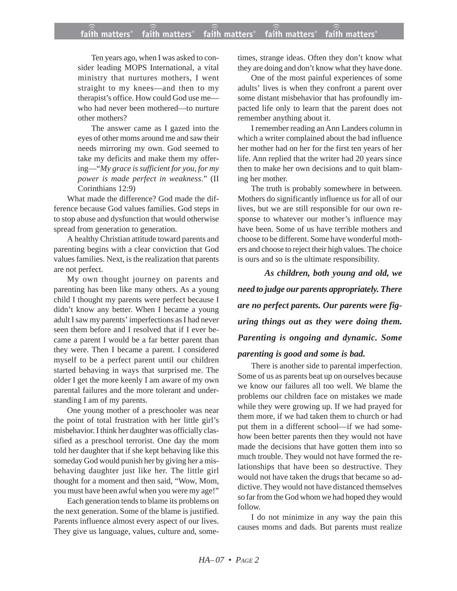### **faith matters® faith matters® faith matters® faith matters® faith matters®** ))) ))) ))) ))) )))

Ten years ago, when I was asked to consider leading MOPS International, a vital ministry that nurtures mothers, I went straight to my knees—and then to my therapist's office. How could God use me who had never been mothered—to nurture other mothers?

The answer came as I gazed into the eyes of other moms around me and saw their needs mirroring my own. God seemed to take my deficits and make them my offering—"*My grace is sufficient for you, for my power is made perfect in weakness.*" (II Corinthians 12:9)

What made the difference? God made the difference because God values families. God steps in to stop abuse and dysfunction that would otherwise spread from generation to generation.

A healthy Christian attitude toward parents and parenting begins with a clear conviction that God values families. Next, is the realization that parents are not perfect.

My own thought journey on parents and parenting has been like many others. As a young child I thought my parents were perfect because I didn't know any better. When I became a young adult I saw my parents' imperfections as I had never seen them before and I resolved that if I ever became a parent I would be a far better parent than they were. Then I became a parent. I considered myself to be a perfect parent until our children started behaving in ways that surprised me. The older I get the more keenly I am aware of my own parental failures and the more tolerant and understanding I am of my parents.

One young mother of a preschooler was near the point of total frustration with her little girl's misbehavior. I think her daughter was officially classified as a preschool terrorist. One day the mom told her daughter that if she kept behaving like this someday God would punish her by giving her a misbehaving daughter just like her. The little girl thought for a moment and then said, "Wow, Mom, you must have been awful when you were my age!"

Each generation tends to blame its problems on the next generation. Some of the blame is justified. Parents influence almost every aspect of our lives. They give us language, values, culture and, sometimes, strange ideas. Often they don't know what they are doing and don't know what they have done.

One of the most painful experiences of some adults' lives is when they confront a parent over some distant misbehavior that has profoundly impacted life only to learn that the parent does not remember anything about it.

I remember reading an Ann Landers column in which a writer complained about the bad influence her mother had on her for the first ten years of her life. Ann replied that the writer had 20 years since then to make her own decisions and to quit blaming her mother.

The truth is probably somewhere in between. Mothers do significantly influence us for all of our lives, but we are still responsible for our own response to whatever our mother's influence may have been. Some of us have terrible mothers and choose to be different. Some have wonderful mothers and choose to reject their high values. The choice is ours and so is the ultimate responsibility.

*As children, both young and old, we need to judge our parents appropriately. There are no perfect parents. Our parents were figuring things out as they were doing them. Parenting is ongoing and dynamic. Some*

## *parenting is good and some is bad.*

There is another side to parental imperfection. Some of us as parents beat up on ourselves because we know our failures all too well. We blame the problems our children face on mistakes we made while they were growing up. If we had prayed for them more, if we had taken them to church or had put them in a different school—if we had somehow been better parents then they would not have made the decisions that have gotten them into so much trouble. They would not have formed the relationships that have been so destructive. They would not have taken the drugs that became so addictive. They would not have distanced themselves so far from the God whom we had hoped they would follow.

I do not minimize in any way the pain this causes moms and dads. But parents must realize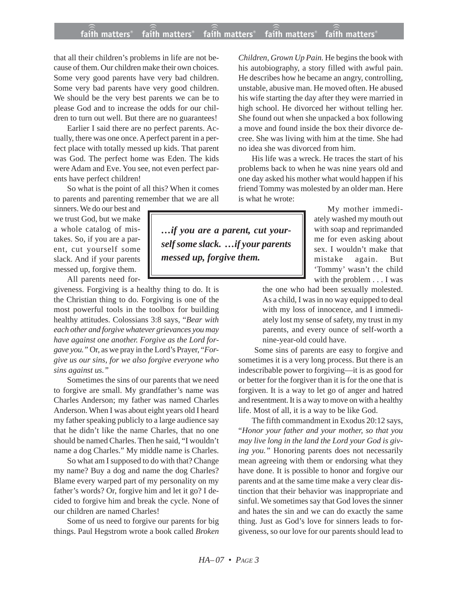### **faith matters® faith matters® faith matters® faith matters® faith matters®** ))) ))) faith matters<sup>®</sup> faith matters<sup>®</sup> faith matters

that all their children's problems in life are not because of them. Our children make their own choices. Some very good parents have very bad children. Some very bad parents have very good children. We should be the very best parents we can be to please God and to increase the odds for our children to turn out well. But there are no guarantees!

Earlier I said there are no perfect parents. Actually, there was one once. A perfect parent in a perfect place with totally messed up kids. That parent was God. The perfect home was Eden. The kids were Adam and Eve. You see, not even perfect parents have perfect children!

So what is the point of all this? When it comes to parents and parenting remember that we are all

sinners. We do our best and we trust God, but we make a whole catalog of mistakes. So, if you are a parent, cut yourself some slack. And if your parents messed up, forgive them.

All parents need for-

giveness. Forgiving is a healthy thing to do. It is the Christian thing to do. Forgiving is one of the most powerful tools in the toolbox for building healthy attitudes. Colossians 3:8 says, "*Bear with each other and forgive whatever grievances you may have against one another. Forgive as the Lord forgave you."* Or, as we pray in the Lord's Prayer, "*Forgive us our sins, for we also forgive everyone who sins against us."*

Sometimes the sins of our parents that we need to forgive are small. My grandfather's name was Charles Anderson; my father was named Charles Anderson. When I was about eight years old I heard my father speaking publicly to a large audience say that he didn't like the name Charles, that no one should be named Charles. Then he said, "I wouldn't name a dog Charles." My middle name is Charles.

So what am I supposed to do with that? Change my name? Buy a dog and name the dog Charles? Blame every warped part of my personality on my father's words? Or, forgive him and let it go? I decided to forgive him and break the cycle. None of our children are named Charles!

Some of us need to forgive our parents for big things. Paul Hegstrom wrote a book called *Broken*

*Children, Grown Up Pain.* He begins the book with his autobiography, a story filled with awful pain. He describes how he became an angry, controlling, unstable, abusive man. He moved often. He abused his wife starting the day after they were married in high school. He divorced her without telling her. She found out when she unpacked a box following a move and found inside the box their divorce decree. She was living with him at the time. She had no idea she was divorced from him.

His life was a wreck. He traces the start of his problems back to when he was nine years old and one day asked his mother what would happen if his friend Tommy was molested by an older man. Here is what he wrote:

*…if you are a parent, cut yourself some slack. …if your parents messed up, forgive them.*

My mother immediately washed my mouth out with soap and reprimanded me for even asking about sex. I wouldn't make that mistake again. But 'Tommy' wasn't the child with the problem . . . I was

the one who had been sexually molested. As a child, I was in no way equipped to deal with my loss of innocence, and I immediately lost my sense of safety, my trust in my parents, and every ounce of self-worth a nine-year-old could have.

Some sins of parents are easy to forgive and sometimes it is a very long process. But there is an indescribable power to forgiving—it is as good for or better for the forgiver than it is for the one that is forgiven. It is a way to let go of anger and hatred and resentment. It is a way to move on with a healthy life. Most of all, it is a way to be like God.

The fifth commandment in Exodus 20:12 says, "*Honor your father and your mother, so that you may live long in the land the Lord your God is giving you."* Honoring parents does not necessarily mean agreeing with them or endorsing what they have done. It is possible to honor and forgive our parents and at the same time make a very clear distinction that their behavior was inappropriate and sinful. We sometimes say that God loves the sinner and hates the sin and we can do exactly the same thing. Just as God's love for sinners leads to forgiveness, so our love for our parents should lead to